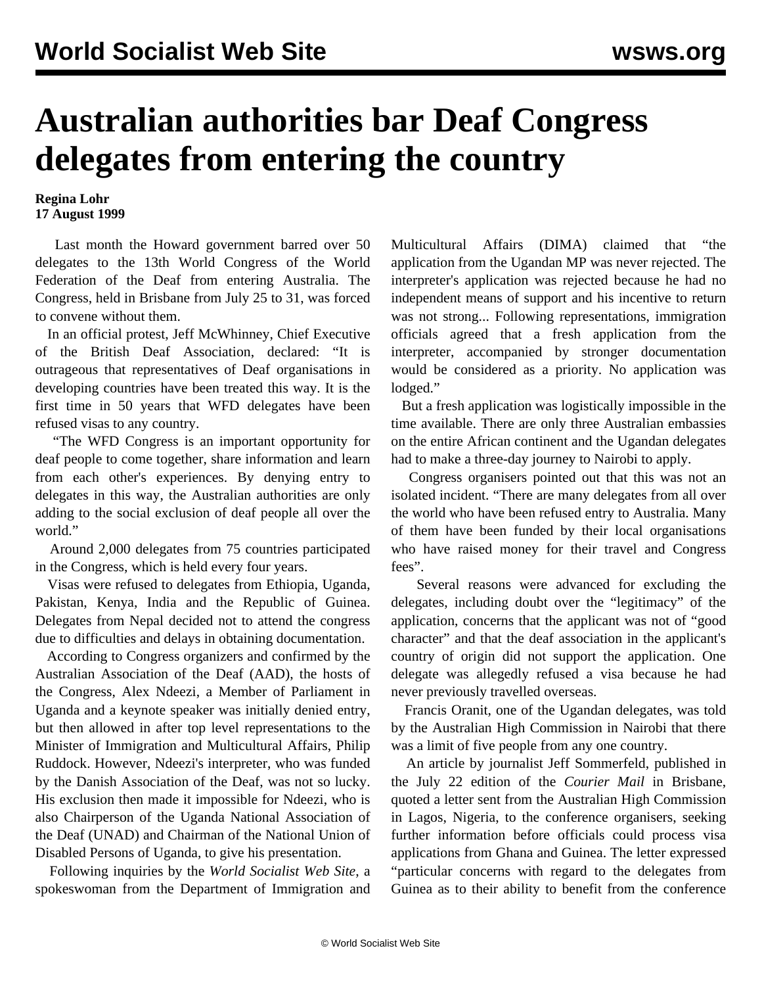## **Australian authorities bar Deaf Congress delegates from entering the country**

## **Regina Lohr 17 August 1999**

 Last month the Howard government barred over 50 delegates to the 13th World Congress of the World Federation of the Deaf from entering Australia. The Congress, held in Brisbane from July 25 to 31, was forced to convene without them.

 In an official protest, Jeff McWhinney, Chief Executive of the British Deaf Association, declared: "It is outrageous that representatives of Deaf organisations in developing countries have been treated this way. It is the first time in 50 years that WFD delegates have been refused visas to any country.

 "The WFD Congress is an important opportunity for deaf people to come together, share information and learn from each other's experiences. By denying entry to delegates in this way, the Australian authorities are only adding to the social exclusion of deaf people all over the world."

 Around 2,000 delegates from 75 countries participated in the Congress, which is held every four years.

 Visas were refused to delegates from Ethiopia, Uganda, Pakistan, Kenya, India and the Republic of Guinea. Delegates from Nepal decided not to attend the congress due to difficulties and delays in obtaining documentation.

 According to Congress organizers and confirmed by the Australian Association of the Deaf (AAD), the hosts of the Congress, Alex Ndeezi, a Member of Parliament in Uganda and a keynote speaker was initially denied entry, but then allowed in after top level representations to the Minister of Immigration and Multicultural Affairs, Philip Ruddock. However, Ndeezi's interpreter, who was funded by the Danish Association of the Deaf, was not so lucky. His exclusion then made it impossible for Ndeezi, who is also Chairperson of the Uganda National Association of the Deaf (UNAD) and Chairman of the National Union of Disabled Persons of Uganda, to give his presentation.

 Following inquiries by the *World Socialist Web Site*, a spokeswoman from the Department of Immigration and Multicultural Affairs (DIMA) claimed that "the application from the Ugandan MP was never rejected. The interpreter's application was rejected because he had no independent means of support and his incentive to return was not strong... Following representations, immigration officials agreed that a fresh application from the interpreter, accompanied by stronger documentation would be considered as a priority. No application was lodged."

 But a fresh application was logistically impossible in the time available. There are only three Australian embassies on the entire African continent and the Ugandan delegates had to make a three-day journey to Nairobi to apply.

 Congress organisers pointed out that this was not an isolated incident. "There are many delegates from all over the world who have been refused entry to Australia. Many of them have been funded by their local organisations who have raised money for their travel and Congress fees".

 Several reasons were advanced for excluding the delegates, including doubt over the "legitimacy" of the application, concerns that the applicant was not of "good character" and that the deaf association in the applicant's country of origin did not support the application. One delegate was allegedly refused a visa because he had never previously travelled overseas.

 Francis Oranit, one of the Ugandan delegates, was told by the Australian High Commission in Nairobi that there was a limit of five people from any one country.

 An article by journalist Jeff Sommerfeld, published in the July 22 edition of the *Courier Mail* in Brisbane, quoted a letter sent from the Australian High Commission in Lagos, Nigeria, to the conference organisers, seeking further information before officials could process visa applications from Ghana and Guinea. The letter expressed "particular concerns with regard to the delegates from Guinea as to their ability to benefit from the conference